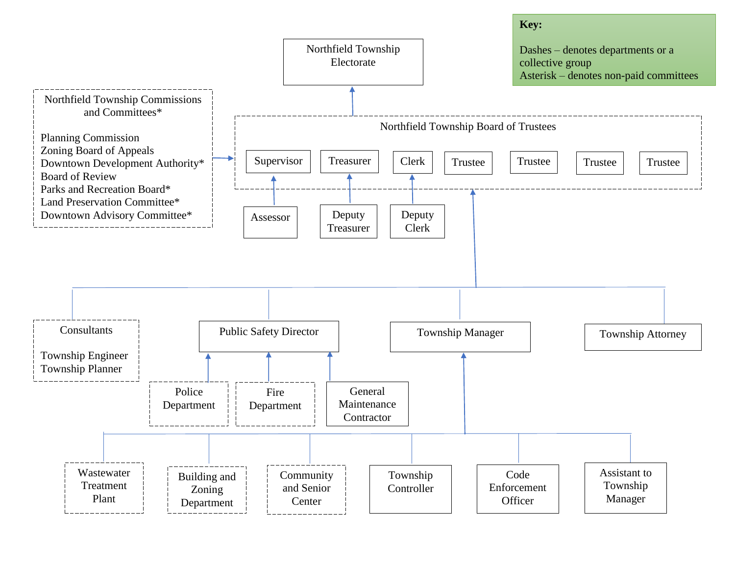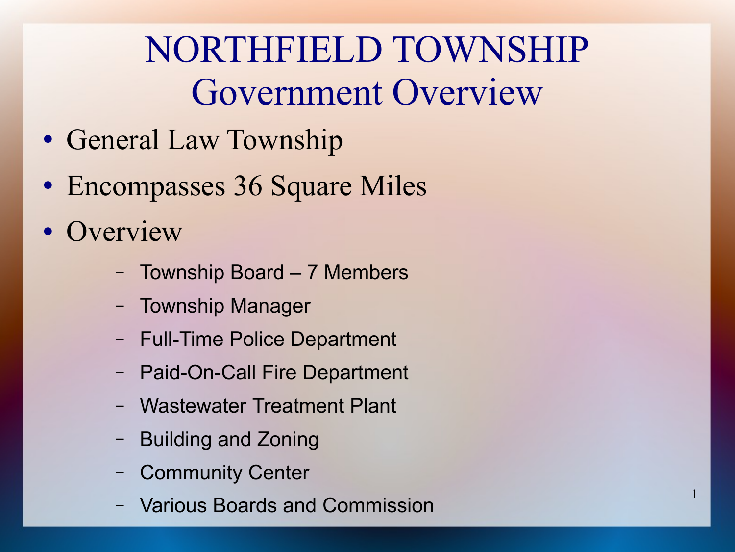## NORTHFIELD TOWNSHIP Government Overview

1

- General Law Township
- Encompasses 36 Square Miles
- Overview
	- Township Board 7 Members
	- Township Manager
	- Full-Time Police Department
	- Paid-On-Call Fire Department
	- Wastewater Treatment Plant
	- Building and Zoning
	- Community Center
	- Various Boards and Commission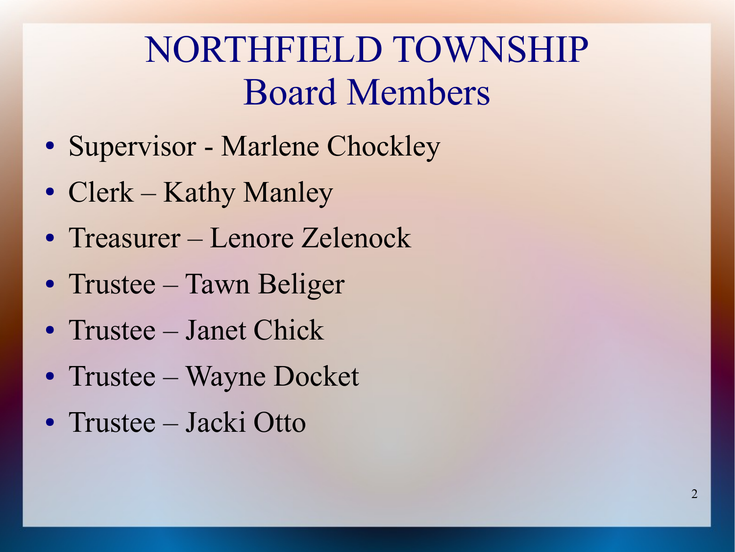#### NORTHFIELD TOWNSHIP Board Members

- Supervisor Marlene Chockley
- Clerk Kathy Manley
- Treasurer Lenore Zelenock
- Trustee Tawn Beliger
- Trustee Janet Chick
- Trustee Wayne Docket
- Trustee Jacki Otto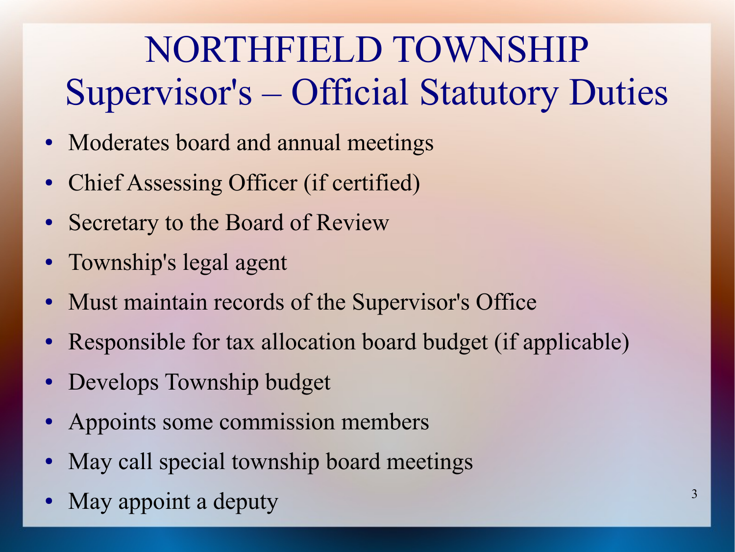# NORTHFIELD TOWNSHIP Supervisor's – Official Statutory Duties

- Moderates board and annual meetings
- Chief Assessing Officer (if certified)
- Secretary to the Board of Review
- Township's legal agent
- Must maintain records of the Supervisor's Office
- Responsible for tax allocation board budget (if applicable)
- Develops Township budget
- Appoints some commission members
- May call special township board meetings
- May appoint a deputy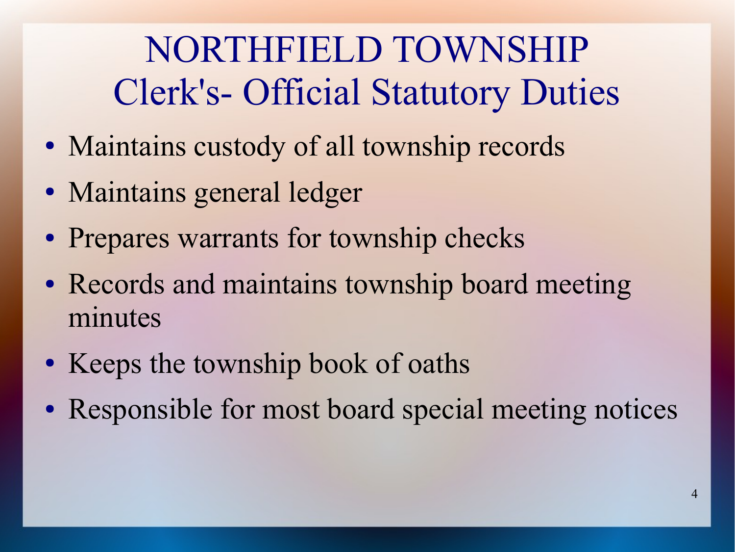# NORTHFIELD TOWNSHIP Clerk's- Official Statutory Duties

- Maintains custody of all township records
- Maintains general ledger
- Prepares warrants for township checks
- Records and maintains township board meeting minutes
- Keeps the township book of oaths
- Responsible for most board special meeting notices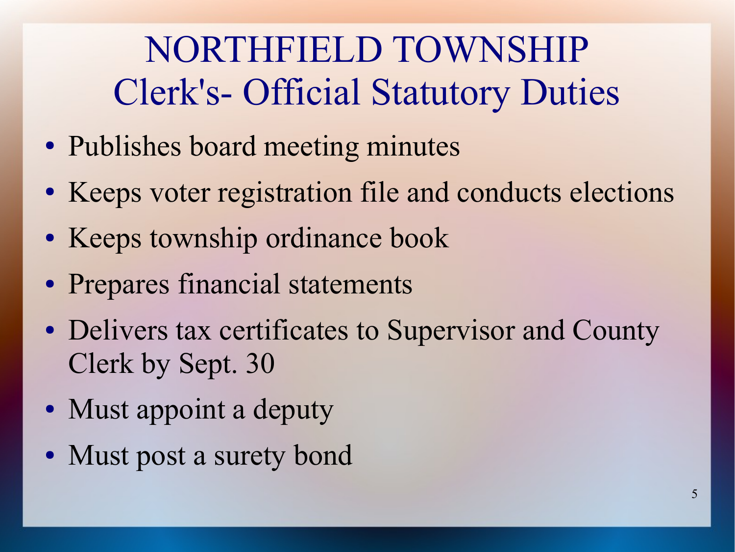## NORTHFIELD TOWNSHIP Clerk's- Official Statutory Duties

- Publishes board meeting minutes
- Keeps voter registration file and conducts elections
- Keeps township ordinance book
- Prepares financial statements
- Delivers tax certificates to Supervisor and County Clerk by Sept. 30
- Must appoint a deputy
- Must post a surety bond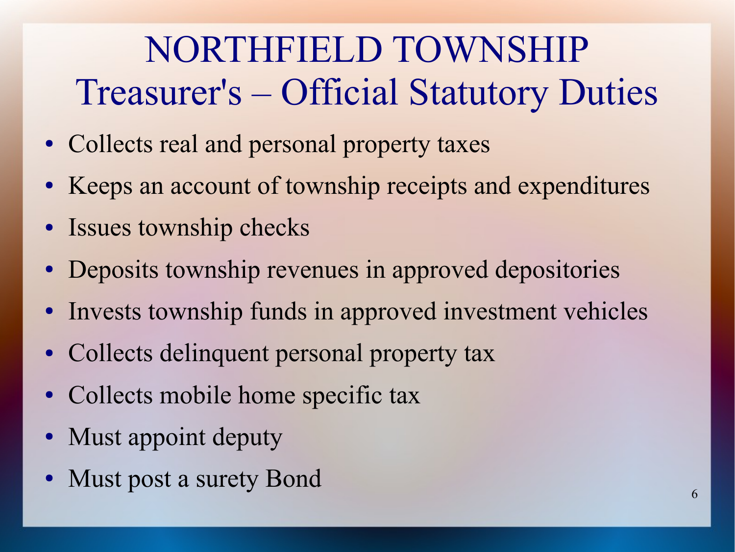# NORTHFIELD TOWNSHIP Treasurer's – Official Statutory Duties

- Collects real and personal property taxes
- Keeps an account of township receipts and expenditures
- Issues township checks
- Deposits township revenues in approved depositories
- Invests township funds in approved investment vehicles
- Collects delinquent personal property tax
- Collects mobile home specific tax
- Must appoint deputy
- Must post a surety Bond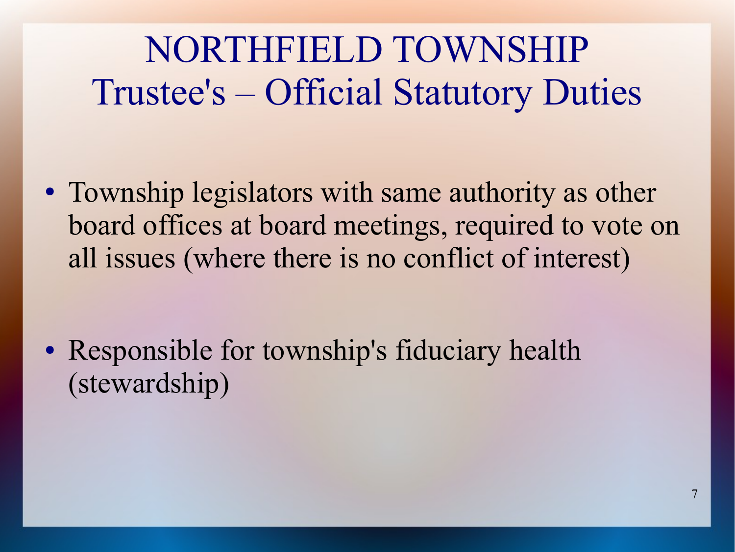#### NORTHFIELD TOWNSHIP Trustee's – Official Statutory Duties

• Township legislators with same authority as other board offices at board meetings, required to vote on all issues (where there is no conflict of interest)

• Responsible for township's fiduciary health (stewardship)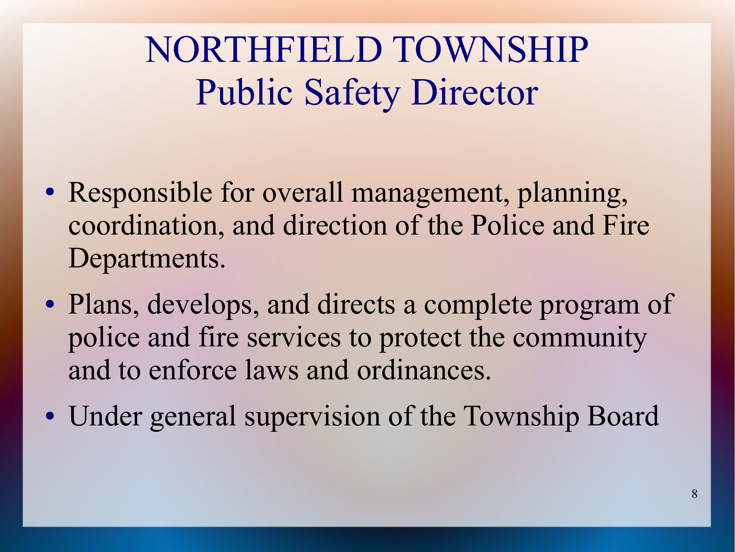#### NORTHFIELD TOWNSHIP Public Safety Director

- Responsible for overall management, planning, coordination, and direction of the Police and Fire Departments.
- Plans, develops, and directs a complete program of police and fire services to protect the community and to enforce laws and ordinances.
- Under general supervision of the Township Board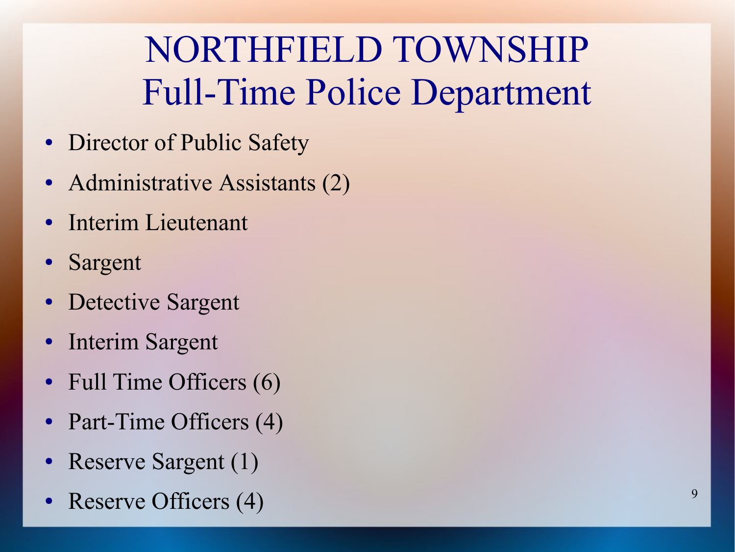## NORTHFIELD TOWNSHIP Full-Time Police Department

- Director of Public Safety
- Administrative Assistants (2)
- **Interim Lieutenant**
- Sargent
- Detective Sargent
- Interim Sargent
- Full Time Officers  $(6)$
- Part-Time Officers (4)
- Reserve Sargent (1)
- Reserve Officers  $(4)$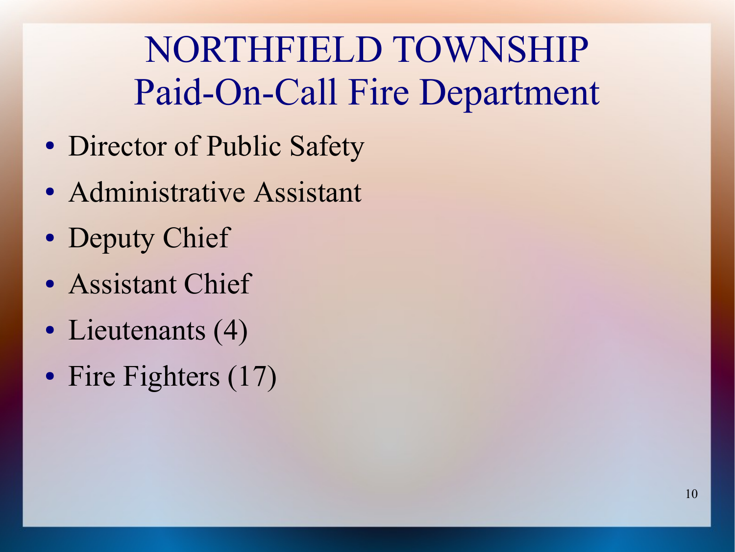# NORTHFIELD TOWNSHIP Paid-On-Call Fire Department

- Director of Public Safety
- Administrative Assistant
- Deputy Chief
- Assistant Chief
- Lieutenants (4)
- Fire Fighters (17)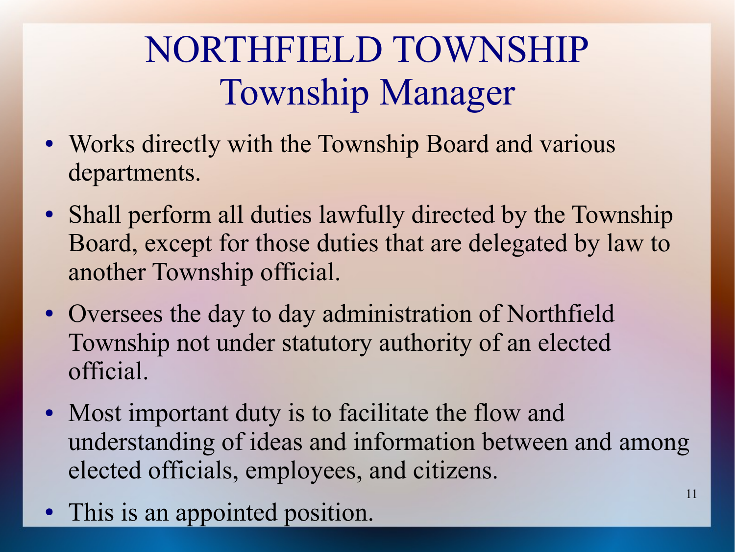# NORTHFIELD TOWNSHIP Township Manager

- Works directly with the Township Board and various departments.
- Shall perform all duties lawfully directed by the Township Board, except for those duties that are delegated by law to another Township official.
- Oversees the day to day administration of Northfield Township not under statutory authority of an elected official.
- Most important duty is to facilitate the flow and understanding of ideas and information between and among elected officials, employees, and citizens.
- This is an appointed position.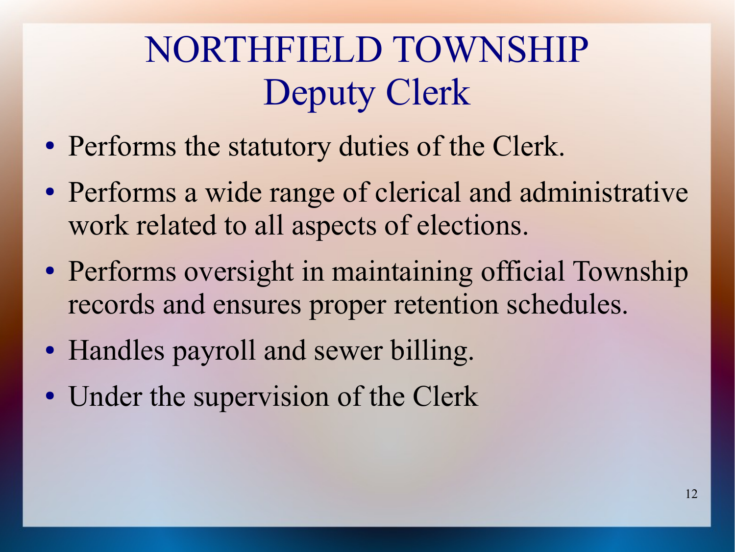# NORTHFIELD TOWNSHIP Deputy Clerk

- Performs the statutory duties of the Clerk.
- Performs a wide range of clerical and administrative work related to all aspects of elections.
- Performs oversight in maintaining official Township records and ensures proper retention schedules.
- Handles payroll and sewer billing.
- Under the supervision of the Clerk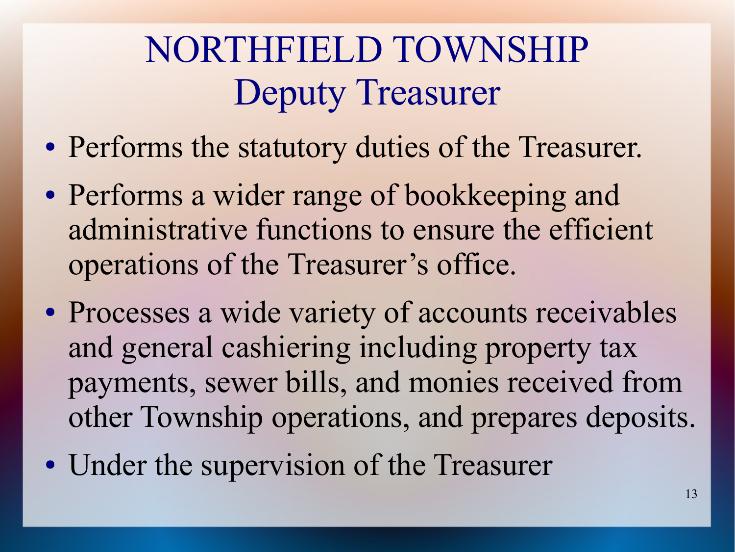# NORTHFIELD TOWNSHIP Deputy Treasurer

- Performs the statutory duties of the Treasurer.
- Performs a wider range of bookkeeping and administrative functions to ensure the efficient operations of the Treasurer's office.
- Processes a wide variety of accounts receivables and general cashiering including property tax payments, sewer bills, and monies received from other Township operations, and prepares deposits.
- Under the supervision of the Treasurer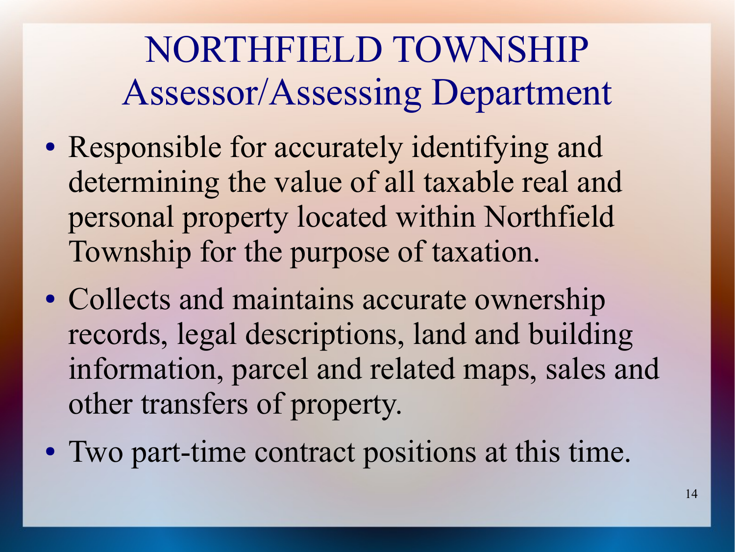## NORTHFIELD TOWNSHIP Assessor/Assessing Department

- Responsible for accurately identifying and determining the value of all taxable real and personal property located within Northfield Township for the purpose of taxation.
- Collects and maintains accurate ownership records, legal descriptions, land and building information, parcel and related maps, sales and other transfers of property.
- Two part-time contract positions at this time.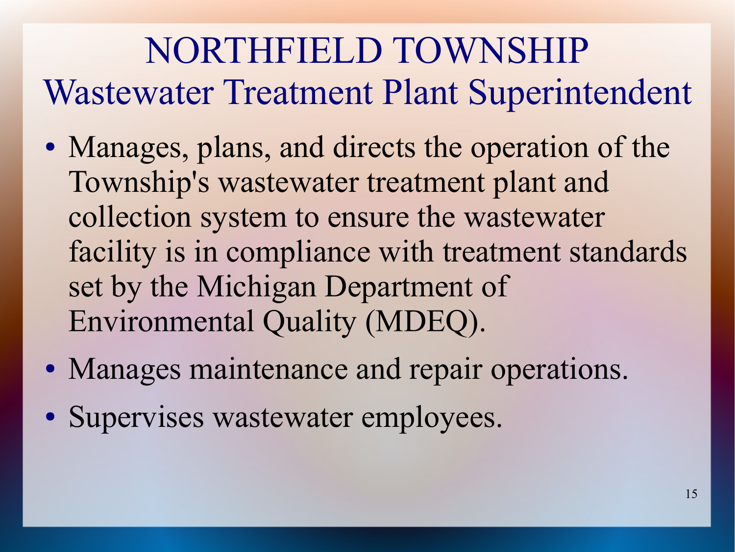#### NORTHFIELD TOWNSHIP Wastewater Treatment Plant Superintendent

- Manages, plans, and directs the operation of the Township's wastewater treatment plant and collection system to ensure the wastewater facility is in compliance with treatment standards set by the Michigan Department of Environmental Quality (MDEQ).
- Manages maintenance and repair operations.
- Supervises wastewater employees.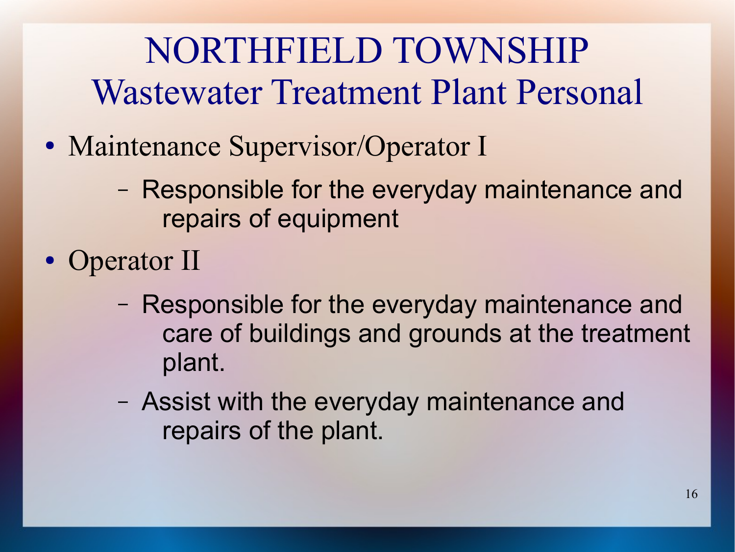## NORTHFIELD TOWNSHIP Wastewater Treatment Plant Personal

- Maintenance Supervisor/Operator I
	- Responsible for the everyday maintenance and repairs of equipment
- Operator II
	- Responsible for the everyday maintenance and care of buildings and grounds at the treatment plant.
	- Assist with the everyday maintenance and repairs of the plant.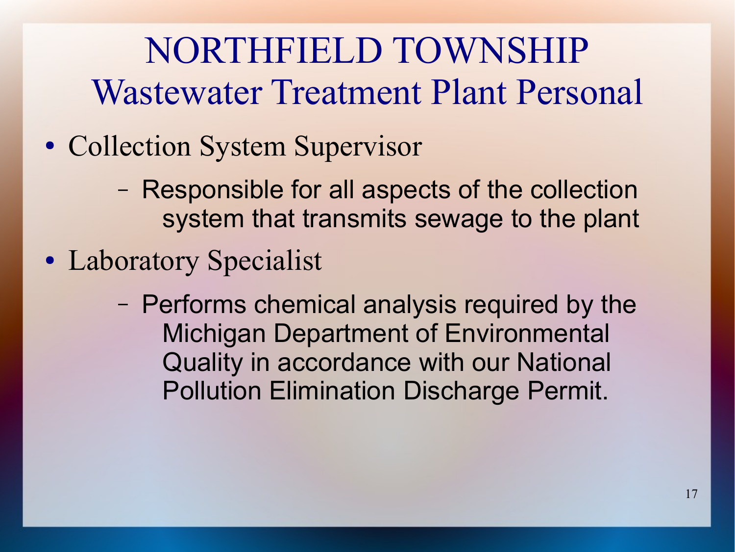#### NORTHFIELD TOWNSHIP Wastewater Treatment Plant Personal

- Collection System Supervisor
	- Responsible for all aspects of the collection system that transmits sewage to the plant
- Laboratory Specialist
	- Performs chemical analysis required by the Michigan Department of Environmental Quality in accordance with our National Pollution Elimination Discharge Permit.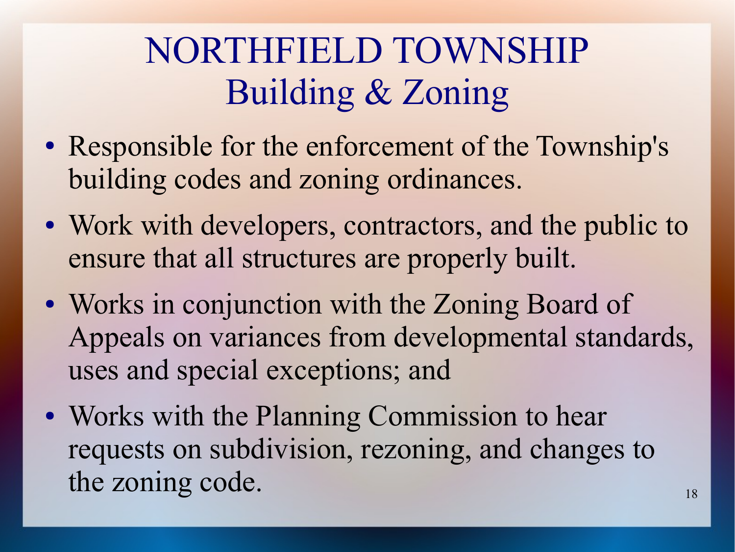## NORTHFIELD TOWNSHIP Building & Zoning

- Responsible for the enforcement of the Township's building codes and zoning ordinances.
- Work with developers, contractors, and the public to ensure that all structures are properly built.
- Works in conjunction with the Zoning Board of Appeals on variances from developmental standards, uses and special exceptions; and
- Works with the Planning Commission to hear requests on subdivision, rezoning, and changes to the zoning code.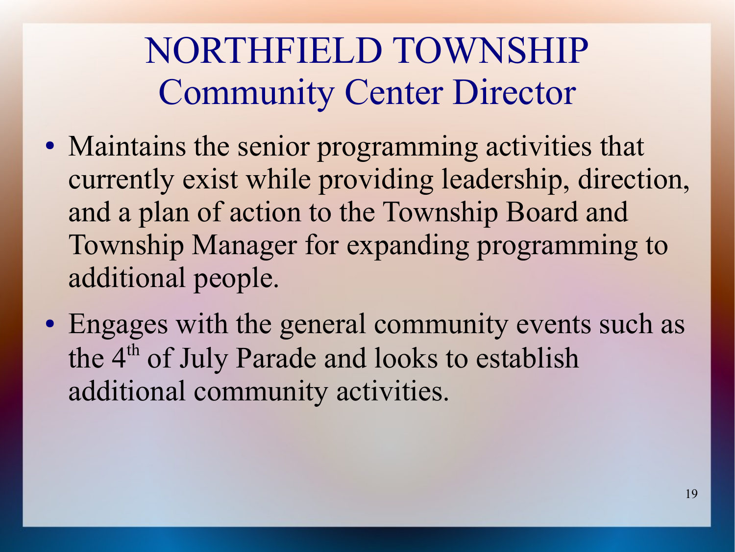#### NORTHFIELD TOWNSHIP Community Center Director

- Maintains the senior programming activities that currently exist while providing leadership, direction, and a plan of action to the Township Board and Township Manager for expanding programming to additional people.
- Engages with the general community events such as the 4<sup>th</sup> of July Parade and looks to establish additional community activities.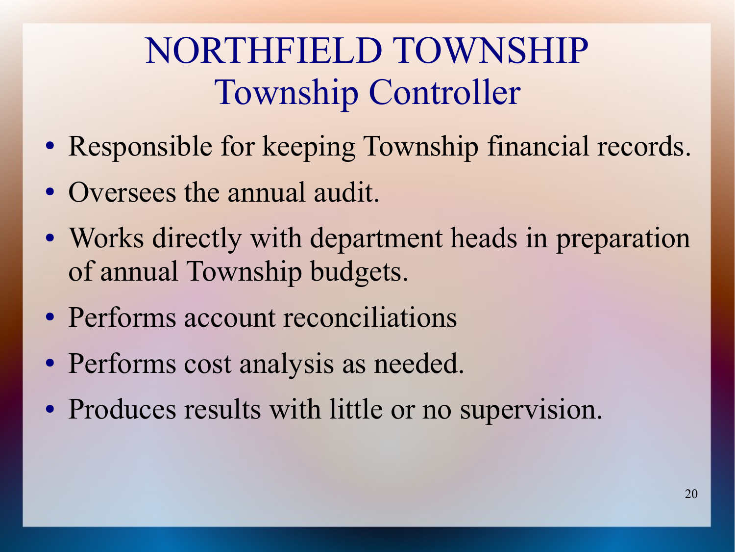## NORTHFIELD TOWNSHIP Township Controller

- Responsible for keeping Township financial records.
- Oversees the annual audit.
- Works directly with department heads in preparation of annual Township budgets.
- Performs account reconciliations
- Performs cost analysis as needed.
- Produces results with little or no supervision.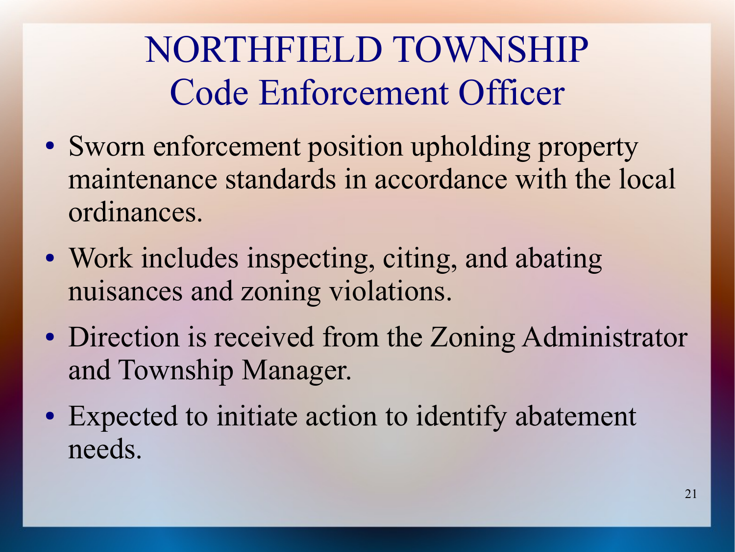NORTHFIELD TOWNSHIP Code Enforcement Officer

- Sworn enforcement position upholding property maintenance standards in accordance with the local ordinances.
- Work includes inspecting, citing, and abating nuisances and zoning violations.
- Direction is received from the Zoning Administrator and Township Manager.
- Expected to initiate action to identify abatement needs.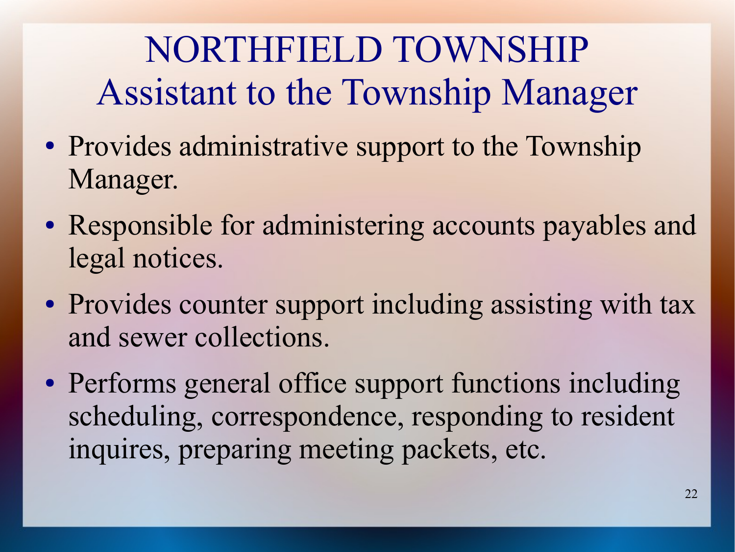# NORTHFIELD TOWNSHIP Assistant to the Township Manager

- Provides administrative support to the Township Manager.
- Responsible for administering accounts payables and legal notices.
- Provides counter support including assisting with tax and sewer collections.
- Performs general office support functions including scheduling, correspondence, responding to resident inquires, preparing meeting packets, etc.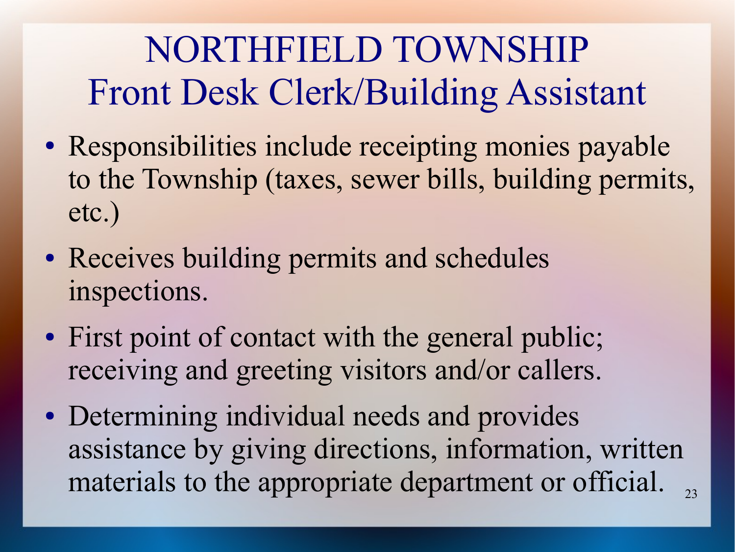# NORTHFIELD TOWNSHIP Front Desk Clerk/Building Assistant

- Responsibilities include receipting monies payable to the Township (taxes, sewer bills, building permits, etc.)
- Receives building permits and schedules inspections.
- First point of contact with the general public; receiving and greeting visitors and/or callers.
- Determining individual needs and provides assistance by giving directions, information, written materials to the appropriate department or official.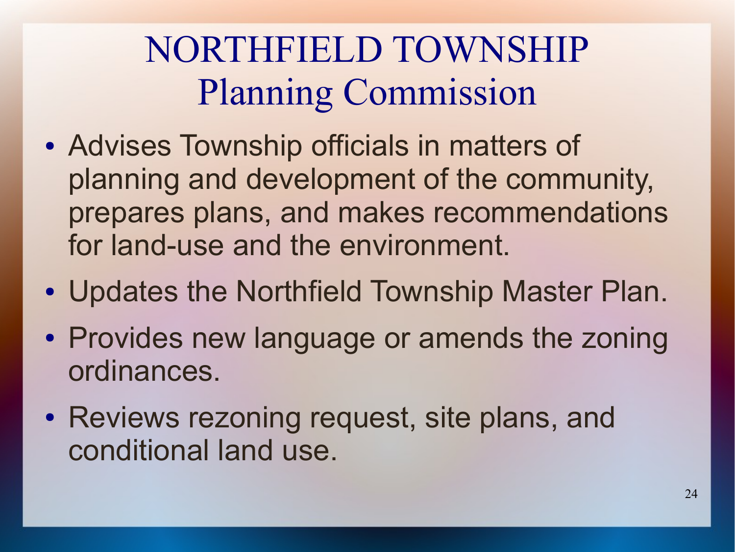# NORTHFIELD TOWNSHIP Planning Commission

- Advises Township officials in matters of planning and development of the community, prepares plans, and makes recommendations for land-use and the environment.
- Updates the Northfield Township Master Plan.
- Provides new language or amends the zoning ordinances.
- Reviews rezoning request, site plans, and conditional land use.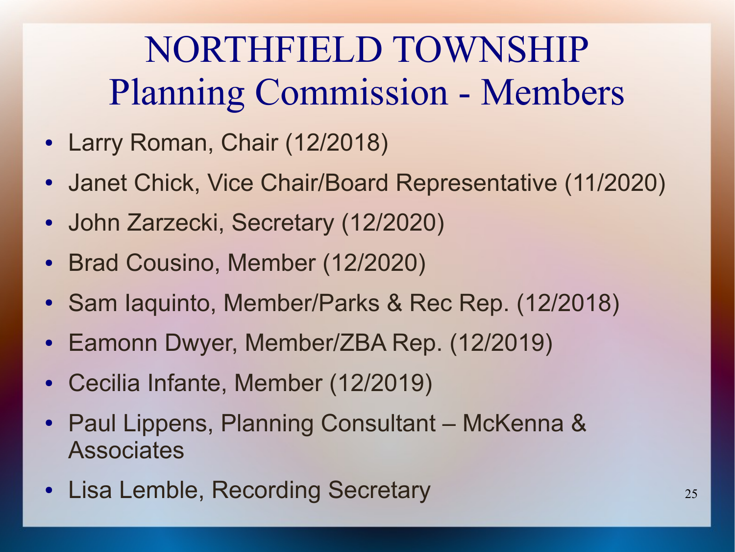## NORTHFIELD TOWNSHIP Planning Commission - Members

- Larry Roman, Chair (12/2018)
- Janet Chick, Vice Chair/Board Representative (11/2020)
- John Zarzecki, Secretary (12/2020)
- Brad Cousino, Member (12/2020)
- Sam Iaquinto, Member/Parks & Rec Rep. (12/2018)
- Eamonn Dwyer, Member/ZBA Rep. (12/2019)
- Cecilia Infante, Member (12/2019)
- Paul Lippens, Planning Consultant McKenna & **Associates**
- Lisa Lemble, Recording Secretary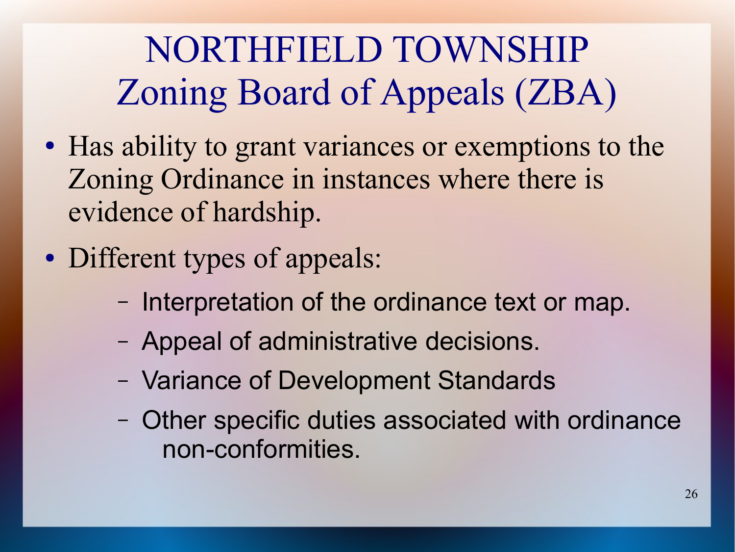# NORTHFIELD TOWNSHIP Zoning Board of Appeals (ZBA)

- Has ability to grant variances or exemptions to the Zoning Ordinance in instances where there is evidence of hardship.
- Different types of appeals:
	- Interpretation of the ordinance text or map.
	- Appeal of administrative decisions.
	- Variance of Development Standards
	- Other specific duties associated with ordinance non-conformities.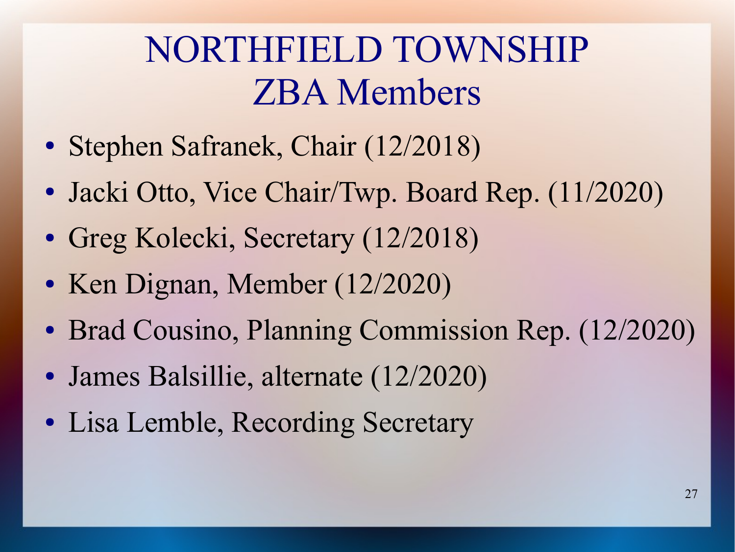#### NORTHFIELD TOWNSHIP ZBA Members

- Stephen Safranek, Chair (12/2018)
- Jacki Otto, Vice Chair/Twp. Board Rep. (11/2020)
- Greg Kolecki, Secretary (12/2018)
- Ken Dignan, Member (12/2020)
- Brad Cousino, Planning Commission Rep. (12/2020)
- James Balsillie, alternate (12/2020)
- Lisa Lemble, Recording Secretary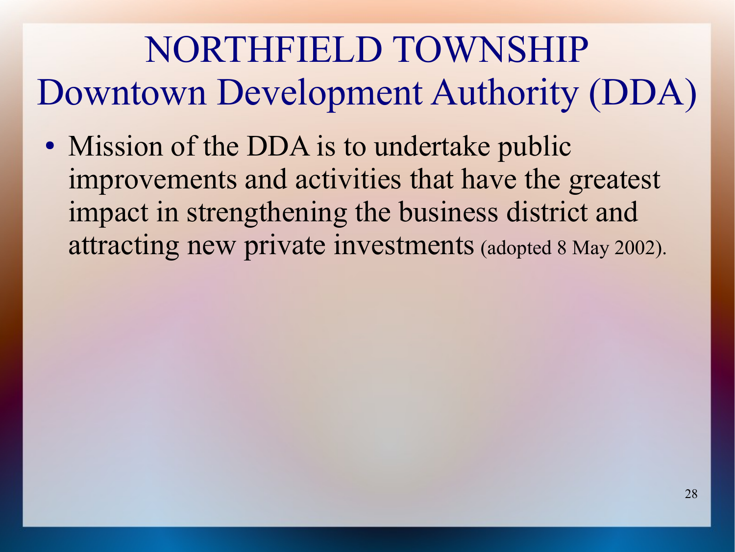# NORTHFIELD TOWNSHIP Downtown Development Authority (DDA)

• Mission of the DDA is to undertake public improvements and activities that have the greatest impact in strengthening the business district and attracting new private investments (adopted 8 May 2002).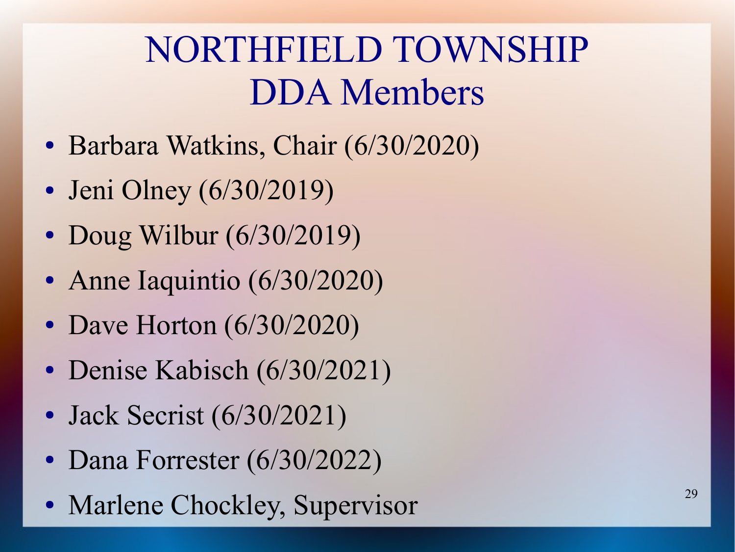### NORTHFIELD TOWNSHIP DDA Members

- Barbara Watkins, Chair (6/30/2020)
- Jeni Olney (6/30/2019)
- Doug Wilbur  $(6/30/2019)$
- Anne Iaquintio (6/30/2020)
- Dave Horton (6/30/2020)
- Denise Kabisch (6/30/2021)
- Jack Secrist (6/30/2021)
- Dana Forrester (6/30/2022)
- Marlene Chockley, Supervisor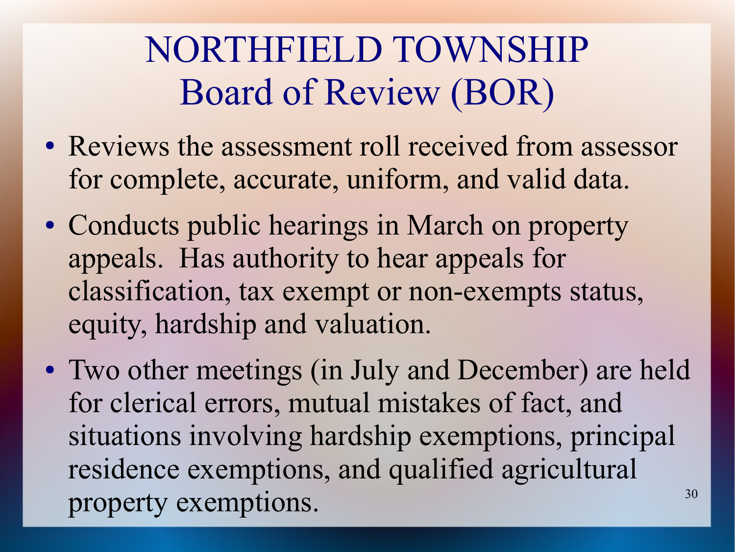### NORTHFIELD TOWNSHIP Board of Review (BOR)

- Reviews the assessment roll received from assessor for complete, accurate, uniform, and valid data.
- Conducts public hearings in March on property appeals. Has authority to hear appeals for classification, tax exempt or non-exempts status, equity, hardship and valuation.
- 30 • Two other meetings (in July and December) are held for clerical errors, mutual mistakes of fact, and situations involving hardship exemptions, principal residence exemptions, and qualified agricultural property exemptions.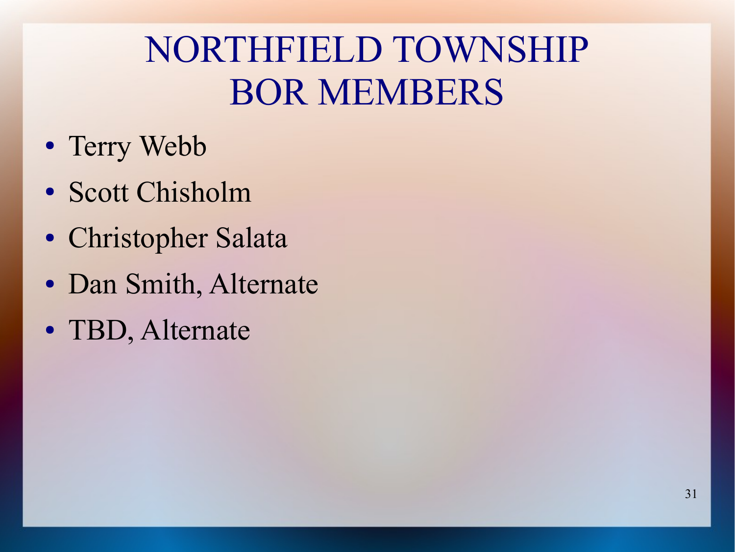### NORTHFIELD TOWNSHIP BOR MEMBERS

- Terry Webb
- Scott Chisholm
- Christopher Salata
- Dan Smith, Alternate
- TBD, Alternate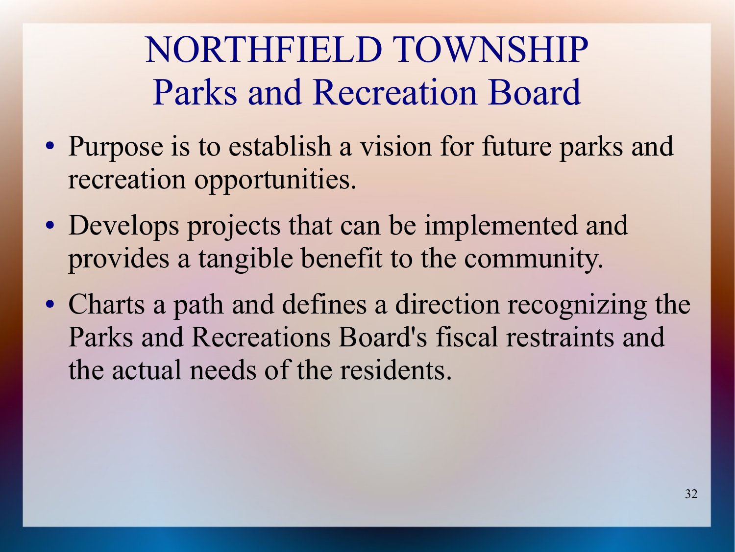## NORTHFIELD TOWNSHIP Parks and Recreation Board

- Purpose is to establish a vision for future parks and recreation opportunities.
- Develops projects that can be implemented and provides a tangible benefit to the community.
- Charts a path and defines a direction recognizing the Parks and Recreations Board's fiscal restraints and the actual needs of the residents.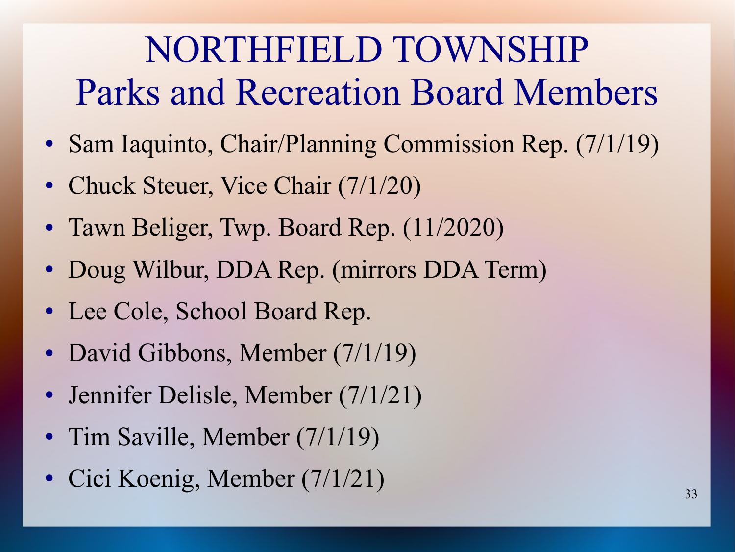## NORTHFIELD TOWNSHIP Parks and Recreation Board Members

- Sam Iaquinto, Chair/Planning Commission Rep. (7/1/19)
- Chuck Steuer, Vice Chair (7/1/20)
- Tawn Beliger, Twp. Board Rep. (11/2020)
- Doug Wilbur, DDA Rep. (mirrors DDA Term)
- Lee Cole, School Board Rep.
- David Gibbons, Member (7/1/19)
- Jennifer Delisle, Member (7/1/21)
- Tim Saville, Member (7/1/19)
- Cici Koenig, Member (7/1/21)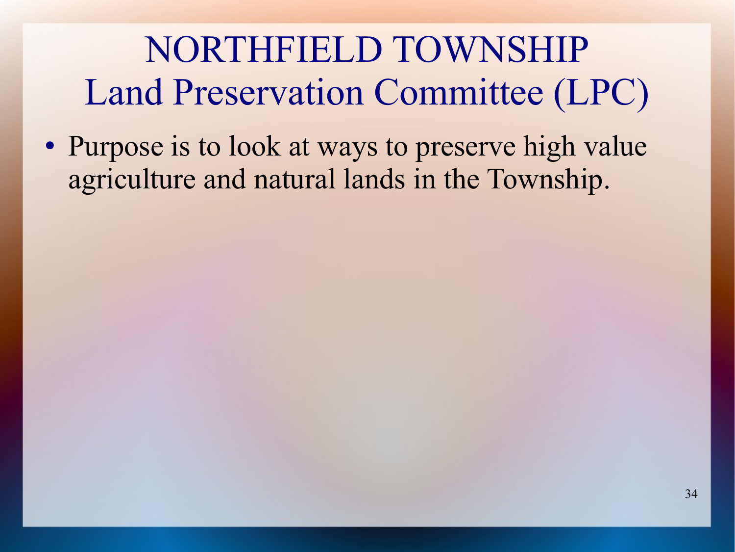NORTHFIELD TOWNSHIP Land Preservation Committee (LPC)

• Purpose is to look at ways to preserve high value agriculture and natural lands in the Township.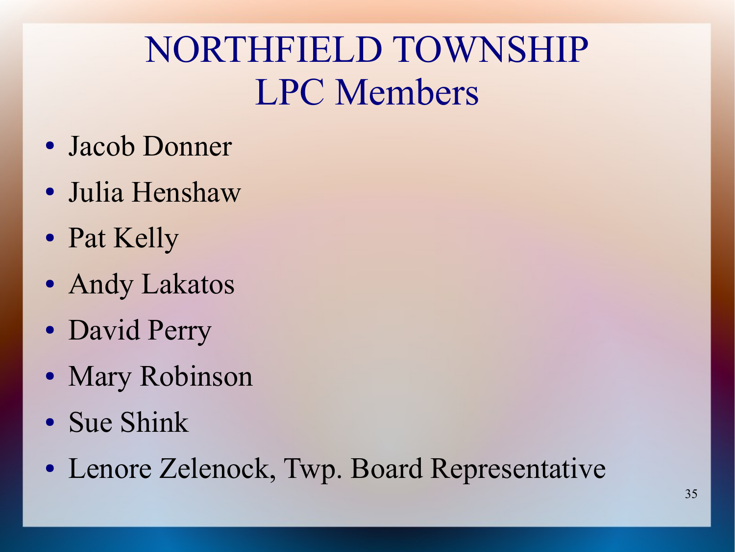### NORTHFIELD TOWNSHIP LPC Members

- Jacob Donner
- Julia Henshaw
- Pat Kelly
- Andy Lakatos
- David Perry
- Mary Robinson
- Sue Shink
- Lenore Zelenock, Twp. Board Representative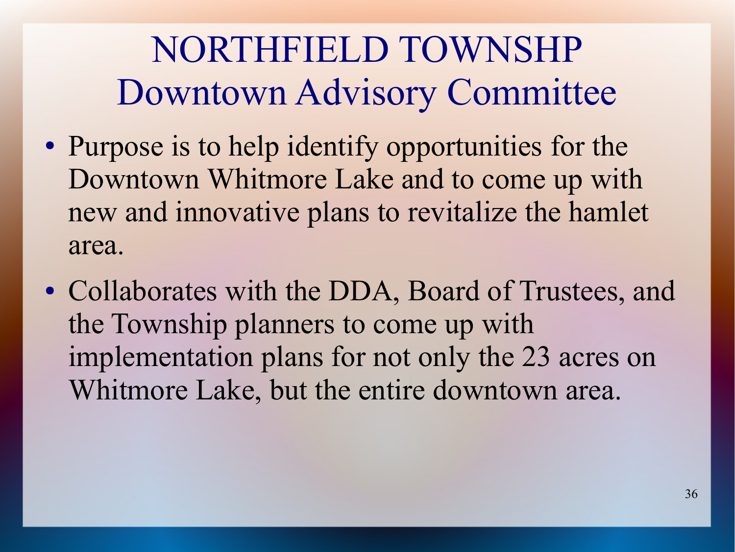# NORTHFIELD TOWNSHP Downtown Advisory Committee

- Purpose is to help identify opportunities for the Downtown Whitmore Lake and to come up with new and innovative plans to revitalize the hamlet area.
- Collaborates with the DDA, Board of Trustees, and the Township planners to come up with implementation plans for not only the 23 acres on Whitmore Lake, but the entire downtown area.